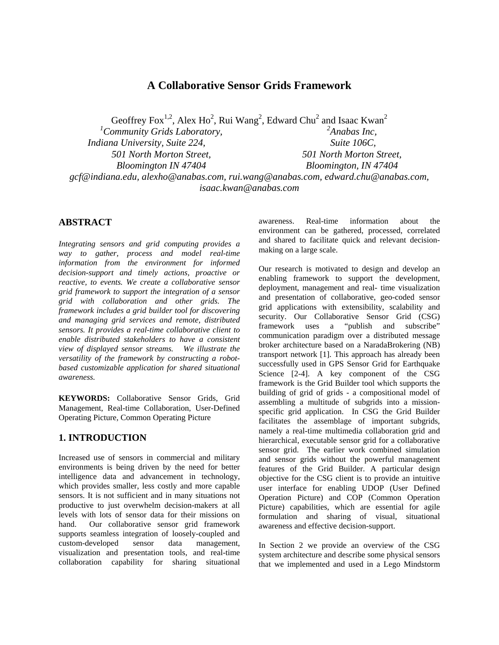# **A Collaborative Sensor Grids Framework**

Geoffrey Fox<sup>1,2</sup>, Alex Ho<sup>2</sup>, Rui Wang<sup>2</sup>, Edward Chu<sup>2</sup> and Isaac Kwan<sup>2</sup>

*Community Grids Laboratory, Indiana University, Suite 224, 501 North Morton Street, Bloomington IN 47404* 

*2 Anabas Inc, Suite 106C, 501 North Morton Street, Bloomington, IN 47404* 

*gcf@indiana.edu, alexho@anabas.com, rui.wang@anabas.com, edward.chu@anabas.com, isaac.kwan@anabas.com* 

## **ABSTRACT**

*Integrating sensors and grid computing provides a way to gather, process and model real-time information from the environment for informed decision-support and timely actions, proactive or reactive, to events. We create a collaborative sensor grid framework to support the integration of a sensor grid with collaboration and other grids. The framework includes a grid builder tool for discovering and managing grid services and remote, distributed sensors. It provides a real-time collaborative client to enable distributed stakeholders to have a consistent view of displayed sensor streams. We illustrate the versatility of the framework by constructing a robotbased customizable application for shared situational awareness.* 

**KEYWORDS:** Collaborative Sensor Grids, Grid Management, Real-time Collaboration, User-Defined Operating Picture, Common Operating Picture

## **1. INTRODUCTION**

Increased use of sensors in commercial and military environments is being driven by the need for better intelligence data and advancement in technology, which provides smaller, less costly and more capable sensors. It is not sufficient and in many situations not productive to just overwhelm decision-makers at all levels with lots of sensor data for their missions on hand. Our collaborative sensor grid framework supports seamless integration of loosely-coupled and custom-developed sensor data management, visualization and presentation tools, and real-time collaboration capability for sharing situational

awareness. Real-time information about the environment can be gathered, processed, correlated and shared to facilitate quick and relevant decisionmaking on a large scale.

Our research is motivated to design and develop an enabling framework to support the development, deployment, management and real- time visualization and presentation of collaborative, geo-coded sensor grid applications with extensibility, scalability and security. Our Collaborative Sensor Grid (CSG) framework uses a "publish and subscribe" communication paradigm over a distributed message broker architecture based on a NaradaBrokering (NB) transport network [1]. This approach has already been successfully used in GPS Sensor Grid for Earthquake Science [2-4]. A key component of the CSG framework is the Grid Builder tool which supports the building of grid of grids - a compositional model of assembling a multitude of subgrids into a missionspecific grid application. In CSG the Grid Builder facilitates the assemblage of important subgrids, namely a real-time multimedia collaboration grid and hierarchical, executable sensor grid for a collaborative sensor grid. The earlier work combined simulation and sensor grids without the powerful management features of the Grid Builder. A particular design objective for the CSG client is to provide an intuitive user interface for enabling UDOP (User Defined Operation Picture) and COP (Common Operation Picture) capabilities, which are essential for agile formulation and sharing of visual, situational awareness and effective decision-support.

In Section 2 we provide an overview of the CSG system architecture and describe some physical sensors that we implemented and used in a Lego Mindstorm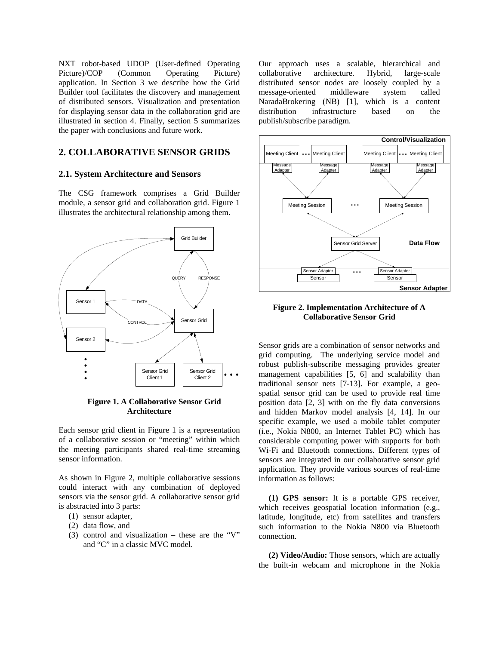NXT robot-based UDOP (User-defined Operating Picture)/COP (Common Operating Picture) application. In Section 3 we describe how the Grid Builder tool facilitates the discovery and management of distributed sensors. Visualization and presentation for displaying sensor data in the collaboration grid are illustrated in section 4. Finally, section 5 summarizes the paper with conclusions and future work.

### **2. COLLABORATIVE SENSOR GRIDS**

#### **2.1. System Architecture and Sensors**

The CSG framework comprises a Grid Builder module, a sensor grid and collaboration grid. Figure 1 illustrates the architectural relationship among them.



**Figure 1. A Collaborative Sensor Grid Architecture** 

Each sensor grid client in Figure 1 is a representation of a collaborative session or "meeting" within which the meeting participants shared real-time streaming sensor information.

As shown in Figure 2, multiple collaborative sessions could interact with any combination of deployed sensors via the sensor grid. A collaborative sensor grid is abstracted into 3 parts:

- (1) sensor adapter,
- (2) data flow, and
- (3) control and visualization these are the "V" and "C" in a classic MVC model.

Our approach uses a scalable, hierarchical and collaborative architecture. Hybrid, large-scale distributed sensor nodes are loosely coupled by a message-oriented middleware system called NaradaBrokering (NB) [1], which is a content distribution infrastructure based on the publish/subscribe paradigm.



**Figure 2. Implementation Architecture of A Collaborative Sensor Grid** 

Sensor grids are a combination of sensor networks and grid computing. The underlying service model and robust publish-subscribe messaging provides greater management capabilities [5, 6] and scalability than traditional sensor nets [7-13]. For example, a geospatial sensor grid can be used to provide real time position data [2, 3] with on the fly data conversions and hidden Markov model analysis [4, 14]. In our specific example, we used a mobile tablet computer (i.e., Nokia N800, an Internet Tablet PC) which has considerable computing power with supports for both Wi-Fi and Bluetooth connections. Different types of sensors are integrated in our collaborative sensor grid application. They provide various sources of real-time information as follows:

**(1) GPS sensor:** It is a portable GPS receiver, which receives geospatial location information (e.g., latitude, longitude, etc) from satellites and transfers such information to the Nokia N800 via Bluetooth connection.

**(2) Video/Audio:** Those sensors, which are actually the built-in webcam and microphone in the Nokia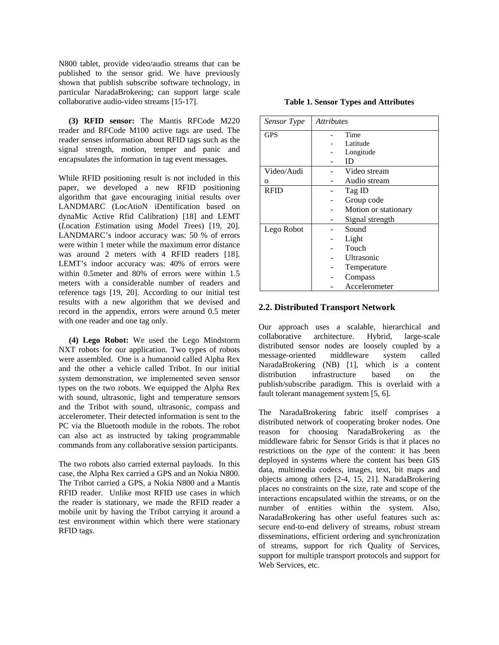N800 tablet, provide video/audio streams that can be published to the sensor grid. We have previously shown that publish subscribe software technology, in particular NaradaBrokering; can support large scale collaborative audio-video streams [15-17].

**(3) RFID sensor:** The Mantis RFCode M220 reader and RFCode M100 active tags are used. The reader senses information about RFID tags such as the signal strength, motion, temper and panic and encapsulates the information in tag event messages.

While RFID positioning result is not included in this paper, we developed a new RFID positioning algorithm that gave encouraging initial results over LANDMARC (LocAtioN iDentification based on dynaMic Active Rfid Calibration) [18] and LEMT (*L*ocation *E*stimation using *M*odel *T*rees) [19, 20]. LANDMARC's indoor accuracy was: 50 % of errors were within 1 meter while the maximum error distance was around 2 meters with 4 RFID readers [18]. LEMT's indoor accuracy was: 40% of errors were within 0.5meter and 80% of errors were within 1.5 meters with a considerable number of readers and reference tags [19, 20]. According to our initial test results with a new algorithm that we devised and record in the appendix, errors were around 0.5 meter with one reader and one tag only.

 **(4) Lego Robot:** We used the Lego Mindstorm NXT robots for our application. Two types of robots were assembled. One is a humanoid called Alpha Rex and the other a vehicle called Tribot. In our initial system demonstration, we implemented seven sensor types on the two robots. We equipped the Alpha Rex with sound, ultrasonic, light and temperature sensors and the Tribot with sound, ultrasonic, compass and accelerometer. Their detected information is sent to the PC via the Bluetooth module in the robots. The robot can also act as instructed by taking programmable commands from any collaborative session participants.

The two robots also carried external payloads. In this case, the Alpha Rex carried a GPS and an Nokia N800. The Tribot carried a GPS, a Nokia N800 and a Mantis RFID reader. Unlike most RFID use cases in which the reader is stationary, we made the RFID reader a mobile unit by having the Tribot carrying it around a test environment within which there were stationary RFID tags.

| Sensor Type | <i><u><b>Attributes</b></u></i> |  |
|-------------|---------------------------------|--|
| <b>GPS</b>  | Time                            |  |
|             | Latitude                        |  |
|             | Longitude                       |  |
|             | ID                              |  |
| Video/Audi  | Video stream                    |  |
| $\Omega$    | Audio stream                    |  |
| <b>RFID</b> | Tag ID                          |  |
|             | Group code                      |  |
|             | Motion or stationary            |  |
|             | Signal strength                 |  |
| Lego Robot  | Sound                           |  |
|             | Light                           |  |
|             | Touch                           |  |
|             | Ultrasonic                      |  |
|             | Temperature                     |  |
|             | Compass                         |  |
|             | Accelerometer                   |  |

**Table 1. Sensor Types and Attributes** 

### **2.2. Distributed Transport Network**

Our approach uses a scalable, hierarchical and collaborative architecture. Hybrid, large-scale distributed sensor nodes are loosely coupled by a message-oriented middleware system called NaradaBrokering (NB) [1], which is a content distribution infrastructure based on the publish/subscribe paradigm. This is overlaid with a fault tolerant management system [5, 6].

The NaradaBrokering fabric itself comprises a distributed network of cooperating broker nodes. One reason for choosing NaradaBrokering as the middleware fabric for Sensor Grids is that it places no restrictions on the *type* of the content: it has been deployed in systems where the content has been GIS data, multimedia codecs, images, text, bit maps and objects among others [2-4, 15, 21]. NaradaBrokering places no constraints on the size, rate and scope of the interactions encapsulated within the streams, or on the number of entities within the system. Also, NaradaBrokering has other useful features such as: secure end-to-end delivery of streams, robust stream disseminations, efficient ordering and synchronization of streams, support for rich Quality of Services, support for multiple transport protocols and support for Web Services, etc.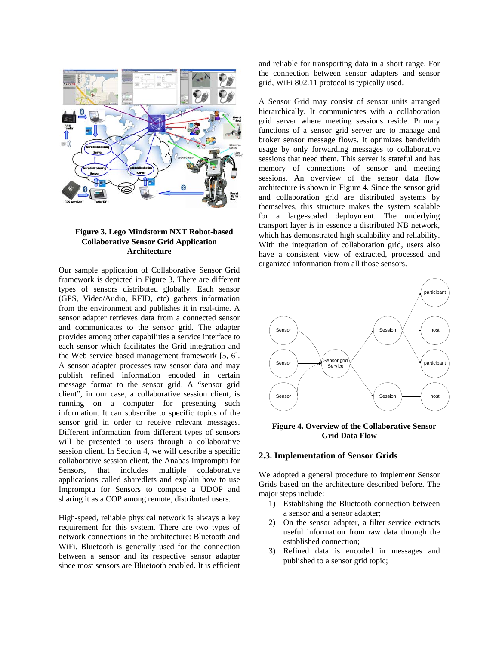

### **Figure 3. Lego Mindstorm NXT Robot-based Collaborative Sensor Grid Application Architecture**

Our sample application of Collaborative Sensor Grid framework is depicted in Figure 3. There are different types of sensors distributed globally. Each sensor (GPS, Video/Audio, RFID, etc) gathers information from the environment and publishes it in real-time. A sensor adapter retrieves data from a connected sensor and communicates to the sensor grid. The adapter provides among other capabilities a service interface to each sensor which facilitates the Grid integration and the Web service based management framework [5, 6]. A sensor adapter processes raw sensor data and may publish refined information encoded in certain message format to the sensor grid. A "sensor grid client", in our case, a collaborative session client, is running on a computer for presenting such information. It can subscribe to specific topics of the sensor grid in order to receive relevant messages. Different information from different types of sensors will be presented to users through a collaborative session client. In Section 4, we will describe a specific collaborative session client, the Anabas Impromptu for Sensors, that includes multiple collaborative applications called sharedlets and explain how to use Impromptu for Sensors to compose a UDOP and sharing it as a COP among remote, distributed users.

High-speed, reliable physical network is always a key requirement for this system. There are two types of network connections in the architecture: Bluetooth and WiFi. Bluetooth is generally used for the connection between a sensor and its respective sensor adapter since most sensors are Bluetooth enabled. It is efficient and reliable for transporting data in a short range. For the connection between sensor adapters and sensor grid, WiFi 802.11 protocol is typically used.

A Sensor Grid may consist of sensor units arranged hierarchically. It communicates with a collaboration grid server where meeting sessions reside. Primary functions of a sensor grid server are to manage and broker sensor message flows. It optimizes bandwidth usage by only forwarding messages to collaborative sessions that need them. This server is stateful and has memory of connections of sensor and meeting sessions. An overview of the sensor data flow architecture is shown in Figure 4. Since the sensor grid and collaboration grid are distributed systems by themselves, this structure makes the system scalable for a large-scaled deployment. The underlying transport layer is in essence a distributed NB network, which has demonstrated high scalability and reliability. With the integration of collaboration grid, users also have a consistent view of extracted, processed and organized information from all those sensors.



#### **Figure 4. Overview of the Collaborative Sensor Grid Data Flow**

#### **2.3. Implementation of Sensor Grids**

We adopted a general procedure to implement Sensor Grids based on the architecture described before. The major steps include:

- 1) Establishing the Bluetooth connection between a sensor and a sensor adapter;
- 2) On the sensor adapter, a filter service extracts useful information from raw data through the established connection;
- 3) Refined data is encoded in messages and published to a sensor grid topic;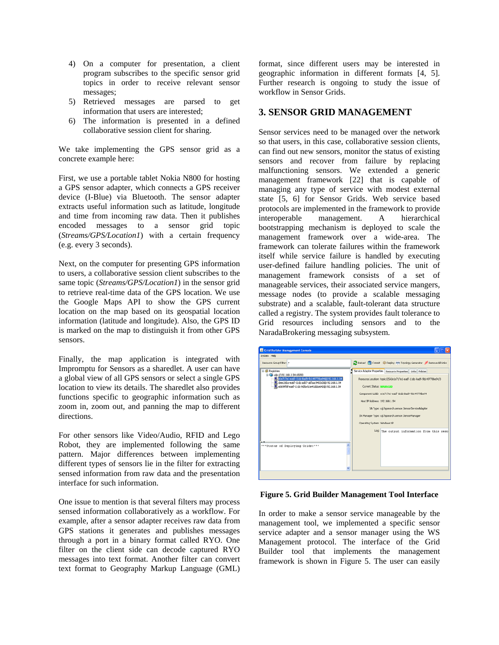- 4) On a computer for presentation, a client program subscribes to the specific sensor grid topics in order to receive relevant sensor messages;
- 5) Retrieved messages are parsed to get information that users are interested;
- 6) The information is presented in a defined collaborative session client for sharing.

We take implementing the GPS sensor grid as a concrete example here:

First, we use a portable tablet Nokia N800 for hosting a GPS sensor adapter, which connects a GPS receiver device (I-Blue) via Bluetooth. The sensor adapter extracts useful information such as latitude, longitude and time from incoming raw data. Then it publishes encoded messages to a sensor grid topic (*Streams/GPS/Location1*) with a certain frequency (e.g. every 3 seconds).

Next, on the computer for presenting GPS information to users, a collaborative session client subscribes to the same topic (*Streams/GPS/Location1*) in the sensor grid to retrieve real-time data of the GPS location. We use the Google Maps API to show the GPS current location on the map based on its geospatial location information (latitude and longitude). Also, the GPS ID is marked on the map to distinguish it from other GPS sensors.

Finally, the map application is integrated with Impromptu for Sensors as a sharedlet. A user can have a global view of all GPS sensors or select a single GPS location to view its details. The sharedlet also provides functions specific to geographic information such as zoom in, zoom out, and panning the map to different directions.

For other sensors like Video/Audio, RFID and Lego Robot, they are implemented following the same pattern. Major differences between implementing different types of sensors lie in the filter for extracting sensed information from raw data and the presentation interface for such information.

One issue to mention is that several filters may process sensed information collaboratively as a workflow. For example, after a sensor adapter receives raw data from GPS stations it generates and publishes messages through a port in a binary format called RYO. One filter on the client side can decode captured RYO messages into text format. Another filter can convert text format to Geography Markup Language (GML)

format, since different users may be interested in geographic information in different formats [4, 5]. Further research is ongoing to study the issue of workflow in Sensor Grids.

### **3. SENSOR GRID MANAGEMENT**

Sensor services need to be managed over the network so that users, in this case, collaborative session clients, can find out new sensors, monitor the status of existing sensors and recover from failure by replacing malfunctioning sensors. We extended a generic management framework [22] that is capable of managing any type of service with modest external state [5, 6] for Sensor Grids. Web service based protocols are implemented in the framework to provide interoperable management. A hierarchical bootstrapping mechanism is deployed to scale the management framework over a wide-area. The framework can tolerate failures within the framework itself while service failure is handled by executing user-defined failure handling policies. The unit of management framework consists of a set of manageable services, their associated service mangers, message nodes (to provide a scalable messaging substrate) and a scalable, fault-tolerant data structure called a registry. The system provides fault tolerance to Grid resources including sensors and to the NaradaBrokering messaging subsystem.

| <b>E.</b> Grid Builder Management Console                                                                                                                                                                                    |                                                                                                                                                                                                                                                                                                                |
|------------------------------------------------------------------------------------------------------------------------------------------------------------------------------------------------------------------------------|----------------------------------------------------------------------------------------------------------------------------------------------------------------------------------------------------------------------------------------------------------------------------------------------------------------|
| System Help                                                                                                                                                                                                                  |                                                                                                                                                                                                                                                                                                                |
| Resource Group Filter: *                                                                                                                                                                                                     | Reload Commit @ Deploy <> Topology Generator <a> Reload </a> Commit <a> <a> Commit <a> Commit <a> Commit <a> Commit <a> Commit <a> Commit <a> Commit <a< a=""> Commit <a> Commit <a< a=""> Commit <a> Commit <a> Commit <a> Com</a></a></a></a<></a></a<></a></a></a></a></a></a></a></a>                      |
| <b>E 49 Registries</b><br>B & udp://192.168.1.54:65050<br>alle717e1-ea6f-11dc-8ad9-9b149778be94@192.168.1.54<br>R. deec26ba-ea6f-11dc-ad07-a5faac9403d3@192.168.1.54<br>R. e0699f8f-ea6f-11dc-9dSa-b1e41ddce642@192.168.1.54 | Service Adapter Properties Resource Properties Links Policies<br>Resource Location: topic://SA/e1e717e1-ea6f-11dc-8ad9-9b149778be94/3<br>Current Status: MANAGED<br>Component UUID: e1e717e1-ea6f-11dc-8ad9-9b149778be94<br>Host IP Address: 192,168.1.54<br>SA Type: cgl.hpsearch.sensor.SensorServiceAdapter |
|                                                                                                                                                                                                                              | SA Manager Type: cgl.hpsearch.sensor.SensorManager<br>Operating System: Windows XP<br>Log The output information from this reso                                                                                                                                                                                |
| ***Status of Deploying Grids: ***                                                                                                                                                                                            |                                                                                                                                                                                                                                                                                                                |

**Figure 5. Grid Builder Management Tool Interface** 

In order to make a sensor service manageable by the management tool, we implemented a specific sensor service adapter and a sensor manager using the WS Management protocol. The interface of the Grid Builder tool that implements the management framework is shown in Figure 5. The user can easily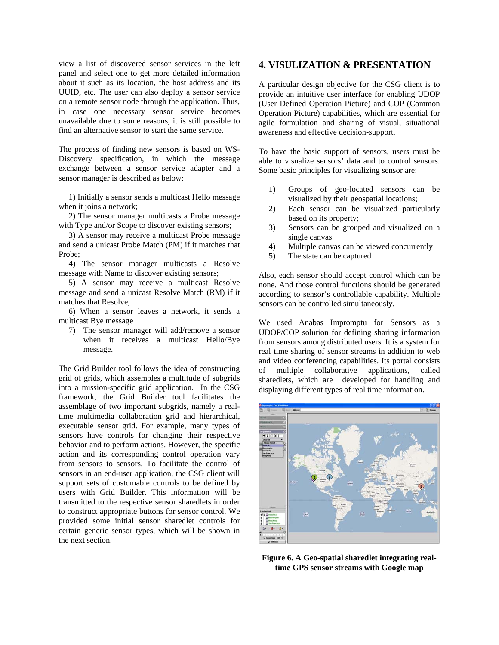view a list of discovered sensor services in the left panel and select one to get more detailed information about it such as its location, the host address and its UUID, etc. The user can also deploy a sensor service on a remote sensor node through the application. Thus, in case one necessary sensor service becomes unavailable due to some reasons, it is still possible to find an alternative sensor to start the same service.

The process of finding new sensors is based on WS-Discovery specification, in which the message exchange between a sensor service adapter and a sensor manager is described as below:

1) Initially a sensor sends a multicast Hello message when it joins a network;

2) The sensor manager multicasts a Probe message with Type and/or Scope to discover existing sensors;

3) A sensor may receive a multicast Probe message and send a unicast Probe Match (PM) if it matches that Probe;

4) The sensor manager multicasts a Resolve message with Name to discover existing sensors;

5) A sensor may receive a multicast Resolve message and send a unicast Resolve Match (RM) if it matches that Resolve;

6) When a sensor leaves a network, it sends a multicast Bye message

7) The sensor manager will add/remove a sensor when it receives a multicast Hello/Bye message.

The Grid Builder tool follows the idea of constructing grid of grids, which assembles a multitude of subgrids into a mission-specific grid application. In the CSG framework, the Grid Builder tool facilitates the assemblage of two important subgrids, namely a realtime multimedia collaboration grid and hierarchical, executable sensor grid. For example, many types of sensors have controls for changing their respective behavior and to perform actions. However, the specific action and its corresponding control operation vary from sensors to sensors. To facilitate the control of sensors in an end-user application, the CSG client will support sets of customable controls to be defined by users with Grid Builder. This information will be transmitted to the respective sensor sharedlets in order to construct appropriate buttons for sensor control. We provided some initial sensor sharedlet controls for certain generic sensor types, which will be shown in the next section.

## **4. VISULIZATION & PRESENTATION**

A particular design objective for the CSG client is to provide an intuitive user interface for enabling UDOP (User Defined Operation Picture) and COP (Common Operation Picture) capabilities, which are essential for agile formulation and sharing of visual, situational awareness and effective decision-support.

To have the basic support of sensors, users must be able to visualize sensors' data and to control sensors. Some basic principles for visualizing sensor are:

- 1) Groups of geo-located sensors can be visualized by their geospatial locations;
- 2) Each sensor can be visualized particularly based on its property;
- 3) Sensors can be grouped and visualized on a single canvas
- 4) Multiple canvas can be viewed concurrently
- 5) The state can be captured

Also, each sensor should accept control which can be none. And those control functions should be generated according to sensor's controllable capability. Multiple sensors can be controlled simultaneously.

We used Anabas Impromptu for Sensors as a UDOP/COP solution for defining sharing information from sensors among distributed users. It is a system for real time sharing of sensor streams in addition to web and video conferencing capabilities. Its portal consists of multiple collaborative applications, called sharedlets, which are developed for handling and displaying different types of real time information.



**Figure 6. A Geo-spatial sharedlet integrating realtime GPS sensor streams with Google map**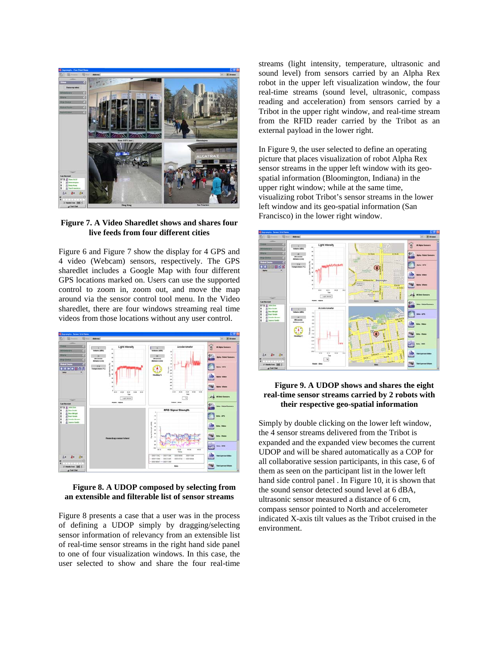

**Figure 7. A Video Sharedlet shows and shares four live feeds from four different cities** 

Figure 6 and Figure 7 show the display for 4 GPS and 4 video (Webcam) sensors, respectively. The GPS sharedlet includes a Google Map with four different GPS locations marked on. Users can use the supported control to zoom in, zoom out, and move the map around via the sensor control tool menu. In the Video sharedlet, there are four windows streaming real time videos from those locations without any user control.



#### **Figure 8. A UDOP composed by selecting from an extensible and filterable list of sensor streams**

Figure 8 presents a case that a user was in the process of defining a UDOP simply by dragging/selecting sensor information of relevancy from an extensible list of real-time sensor streams in the right hand side panel to one of four visualization windows. In this case, the user selected to show and share the four real-time

streams (light intensity, temperature, ultrasonic and sound level) from sensors carried by an Alpha Rex robot in the upper left visualization window, the four real-time streams (sound level, ultrasonic, compass reading and acceleration) from sensors carried by a Tribot in the upper right window, and real-time stream from the RFID reader carried by the Tribot as an external payload in the lower right.

In Figure 9, the user selected to define an operating picture that places visualization of robot Alpha Rex sensor streams in the upper left window with its geospatial information (Bloomington, Indiana) in the upper right window; while at the same time, visualizing robot Tribot's sensor streams in the lower left window and its geo-spatial information (San Francisco) in the lower right window.



### **Figure 9. A UDOP shows and shares the eight real-time sensor streams carried by 2 robots with their respective geo-spatial information**

Simply by double clicking on the lower left window, the 4 sensor streams delivered from the Tribot is expanded and the expanded view becomes the current UDOP and will be shared automatically as a COP for all collaborative session participants, in this case, 6 of them as seen on the participant list in the lower left hand side control panel . In Figure 10, it is shown that the sound sensor detected sound level at 6 dBA, ultrasonic sensor measured a distance of 6 cm, compass sensor pointed to North and accelerometer indicated X-axis tilt values as the Tribot cruised in the environment.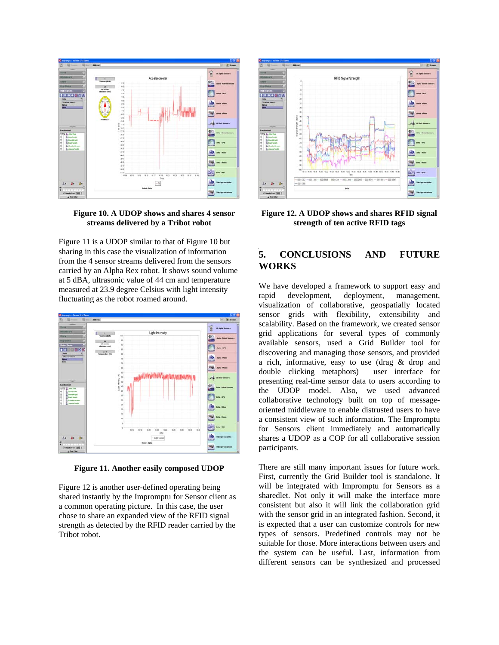

### **Figure 10. A UDOP shows and shares 4 sensor streams delivered by a Tribot robot**

Figure 11 is a UDOP similar to that of Figure 10 but sharing in this case the visualization of information from the 4 sensor streams delivered from the sensors carried by an Alpha Rex robot. It shows sound volume at 5 dBA, ultrasonic value of 44 cm and temperature measured at 23.9 degree Celsius with light intensity fluctuating as the robot roamed around.



**Figure 11. Another easily composed UDOP** 

Figure 12 is another user-defined operating being shared instantly by the Impromptu for Sensor client as a common operating picture. In this case, the user chose to share an expanded view of the RFID signal strength as detected by the RFID reader carried by the Tribot robot.



**Figure 12. A UDOP shows and shares RFID signal strength of ten active RFID tags** 

# **5. CONCLUSIONS AND FUTURE WORKS**

We have developed a framework to support easy and rapid development, deployment, management, visualization of collaborative, geospatially located sensor grids with flexibility, extensibility and scalability. Based on the framework, we created sensor grid applications for several types of commonly available sensors, used a Grid Builder tool for discovering and managing those sensors, and provided a rich, informative, easy to use (drag & drop and double clicking metaphors) user interface for presenting real-time sensor data to users according to the UDOP model. Also, we used advanced collaborative technology built on top of messageoriented middleware to enable distrusted users to have a consistent view of such information. The Impromptu for Sensors client immediately and automatically shares a UDOP as a COP for all collaborative session participants.

There are still many important issues for future work. First, currently the Grid Builder tool is standalone. It will be integrated with Impromptu for Sensors as a sharedlet. Not only it will make the interface more consistent but also it will link the collaboration grid with the sensor grid in an integrated fashion. Second, it is expected that a user can customize controls for new types of sensors. Predefined controls may not be suitable for those. More interactions between users and the system can be useful. Last, information from different sensors can be synthesized and processed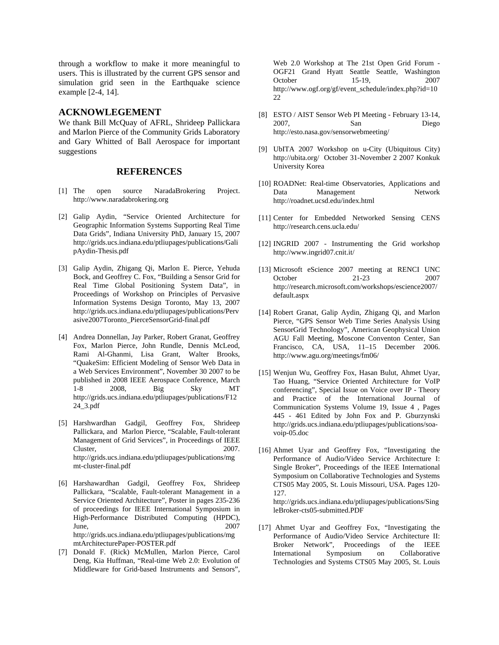through a workflow to make it more meaningful to users. This is illustrated by the current GPS sensor and simulation grid seen in the Earthquake science example [2-4, 14].

### **ACKNOWLEGEMENT**

We thank Bill McQuay of AFRL, Shrideep Pallickara and Marlon Pierce of the Community Grids Laboratory and Gary Whitted of Ball Aerospace for important suggestions

#### **REFERENCES**

- [1] The open source NaradaBrokering Project. http://www.naradabrokering.org
- [2] Galip Aydin, "Service Oriented Architecture for Geographic Information Systems Supporting Real Time Data Grids", Indiana University PhD, January 15, 2007 http://grids.ucs.indiana.edu/ptliupages/publications/Gali pAydin-Thesis.pdf
- [3] Galip Aydin, Zhigang Qi, Marlon E. Pierce, Yehuda Bock, and Geoffrey C. Fox, "Building a Sensor Grid for Real Time Global Positioning System Data", in Proceedings of Workshop on Principles of Pervasive Information Systems Design Toronto, May 13, 2007 http://grids.ucs.indiana.edu/ptliupages/publications/Perv asive2007Toronto\_PierceSensorGrid-final.pdf
- [4] Andrea Donnellan, Jay Parker, Robert Granat, Geoffrey Fox, Marlon Pierce, John Rundle, Dennis McLeod, Rami Al-Ghanmi, Lisa Grant, Walter Brooks, "QuakeSim: Efficient Modeling of Sensor Web Data in a Web Services Environment", November 30 2007 to be published in 2008 IEEE Aerospace Conference, March 1-8 2008, Big Sky MT http://grids.ucs.indiana.edu/ptliupages/publications/F12 24\_3.pdf
- [5] Harshwardhan Gadgil, Geoffrey Fox, Shrideep Pallickara, and Marlon Pierce, "Scalable, Fault-tolerant Management of Grid Services", in Proceedings of IEEE Cluster, 2007. http://grids.ucs.indiana.edu/ptliupages/publications/mg mt-cluster-final.pdf
- [6] Harshawardhan Gadgil, Geoffrey Fox, Shrideep Pallickara, "Scalable, Fault-tolerant Management in a Service Oriented Architecture", Poster in pages 235-236 of proceedings for IEEE International Symposium in High-Performance Distributed Computing (HPDC), June, 2007 http://grids.ucs.indiana.edu/ptliupages/publications/mg mtArchitecturePaper-POSTER.pdf
- [7] Donald F. (Rick) McMullen, Marlon Pierce, Carol Deng, Kia Huffman, "Real-time Web 2.0: Evolution of Middleware for Grid-based Instruments and Sensors",

Web 2.0 Workshop at The 21st Open Grid Forum - OGF21 Grand Hyatt Seattle Seattle, Washington October 15-19, 2007 http://www.ogf.org/gf/event\_schedule/index.php?id=10 22

- [8] ESTO / AIST Sensor Web PI Meeting February 13-14, 2007, San Diego http://esto.nasa.gov/sensorwebmeeting/
- [9] UbITA 2007 Workshop on u-City (Ubiquitous City) http://ubita.org/ October 31-November 2 2007 Konkuk University Korea
- [10] ROADNet: Real-time Observatories, Applications and Data Management Network http://roadnet.ucsd.edu/index.html
- [11] Center for Embedded Networked Sensing CENS http://research.cens.ucla.edu/
- [12] INGRID 2007 Instrumenting the Grid workshop http://www.ingrid07.cnit.it/
- [13] Microsoft eScience 2007 meeting at RENCI UNC October 21-23 2007 http://research.microsoft.com/workshops/escience2007/ default.aspx
- [14] Robert Granat, Galip Aydin, Zhigang Qi, and Marlon Pierce, "GPS Sensor Web Time Series Analysis Using SensorGrid Technology", American Geophysical Union AGU Fall Meeting, Moscone Conventon Center, San Francisco, CA, USA, 11–15 December 2006. http://www.agu.org/meetings/fm06/
- [15] Wenjun Wu, Geoffrey Fox, Hasan Bulut, Ahmet Uyar, Tao Huang, "Service Oriented Architecture for VoIP conferencing", Special Issue on Voice over IP - Theory and Practice of the International Journal of Communication Systems Volume 19, Issue 4 , Pages 445 - 461 Edited by John Fox and P. Gburzynski http://grids.ucs.indiana.edu/ptliupages/publications/soavoip-05.doc
- [16] Ahmet Uyar and Geoffrey Fox, "Investigating the Performance of Audio/Video Service Architecture I: Single Broker", Proceedings of the IEEE International Symposium on Collaborative Technologies and Systems CTS05 May 2005, St. Louis Missouri, USA. Pages 120- 127. http://grids.ucs.indiana.edu/ptliupages/publications/Sing

leBroker-cts05-submitted.PDF

[17] Ahmet Uyar and Geoffrey Fox, "Investigating the Performance of Audio/Video Service Architecture II: Broker Network", Proceedings of the IEEE International Symposium on Collaborative Technologies and Systems CTS05 May 2005, St. Louis